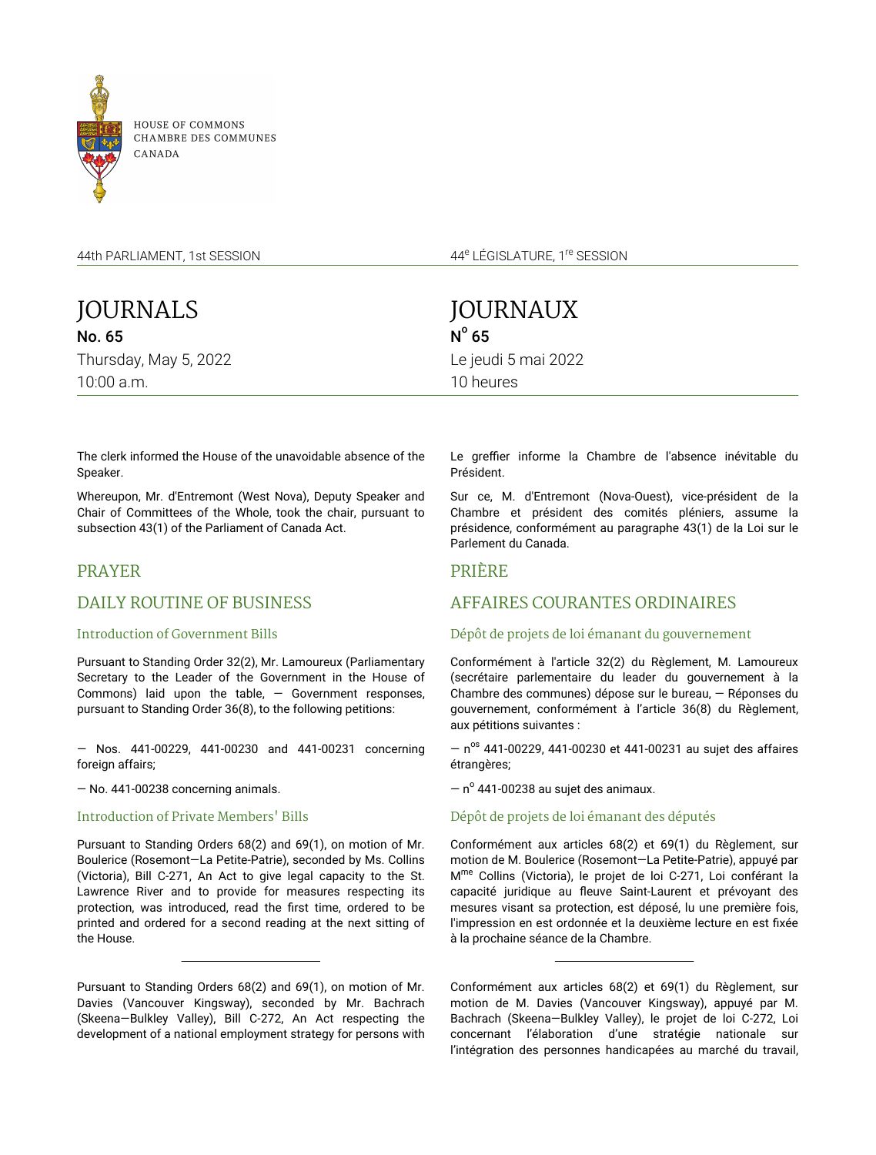

44th PARLIAMENT, 1st SESSION

JOURNALS No. 65 Thursday, May 5, 2022 10:00 a.m.

44<sup>e</sup> LÉGISLATURE, 1<sup>re</sup> SESSION

JOURNAUX  $N^{\circ}$  65 Le jeudi 5 mai 2022 10 heures

The clerk informed the House of the unavoidable absence of the Speaker.

Whereupon, Mr. d'Entremont (West Nova), Deputy Speaker and Chair of Committees of the Whole, took the chair, pursuant to subsection 43(1) of the Parliament of Canada Act.

# PRAYER

# DAILY ROUTINE OF BUSINESS

#### Introduction of Government Bills

Pursuant to Standing Order 32(2), Mr. Lamoureux (Parliamentary Secretary to the Leader of the Government in the House of Commons) laid upon the table,  $-$  Government responses, pursuant to Standing Order 36(8), to the following petitions:

— Nos. 441-00229, 441-00230 and 441-00231 concerning foreign affairs;

— No. 441-00238 concerning animals.

### Introduction of Private Members' Bills

Pursuant to Standing Orders 68(2) and 69(1), on motion of Mr. Boulerice (Rosemont—La Petite-Patrie), seconded by Ms. Collins (Victoria), Bill C-271, An Act to give legal capacity to the St. Lawrence River and to provide for measures respecting its protection, was introduced, read the first time, ordered to be printed and ordered for a second reading at the next sitting of the House.

Pursuant to Standing Orders 68(2) and 69(1), on motion of Mr. Davies (Vancouver Kingsway), seconded by Mr. Bachrach (Skeena—Bulkley Valley), Bill C-272, An Act respecting the development of a national employment strategy for persons with Le greffier informe la Chambre de l'absence inévitable du Président.

Sur ce, M. d'Entremont (Nova-Ouest), vice-président de la Chambre et président des comités pléniers, assume la présidence, conformément au paragraphe 43(1) de la Loi sur le Parlement du Canada.

## PRIÈRE

# AFFAIRES COURANTES ORDINAIRES

### Dépôt de projets de loi émanant du gouvernement

Conformément à l'article 32(2) du Règlement, M. Lamoureux (secrétaire parlementaire du leader du gouvernement à la Chambre des communes) dépose sur le bureau, — Réponses du gouvernement, conformément à l'article 36(8) du Règlement, aux pétitions suivantes :

 $-$  n<sup>os</sup> 441-00229, 441-00230 et 441-00231 au sujet des affaires étrangères;

 $-$  n $^{\circ}$  441-00238 au sujet des animaux.

## Dépôt de projets de loi émanant des députés

Conformément aux articles 68(2) et 69(1) du Règlement, sur motion de M. Boulerice (Rosemont—La Petite-Patrie), appuyé par M<sup>me</sup> Collins (Victoria), le projet de loi C-271, Loi conférant la capacité juridique au fleuve Saint-Laurent et prévoyant des mesures visant sa protection, est déposé, lu une première fois, l'impression en est ordonnée et la deuxième lecture en est fixée à la prochaine séance de la Chambre.

Conformément aux articles 68(2) et 69(1) du Règlement, sur motion de M. Davies (Vancouver Kingsway), appuyé par M. Bachrach (Skeena—Bulkley Valley), le projet de loi C-272, Loi concernant l'élaboration d'une stratégie nationale sur l'intégration des personnes handicapées au marché du travail,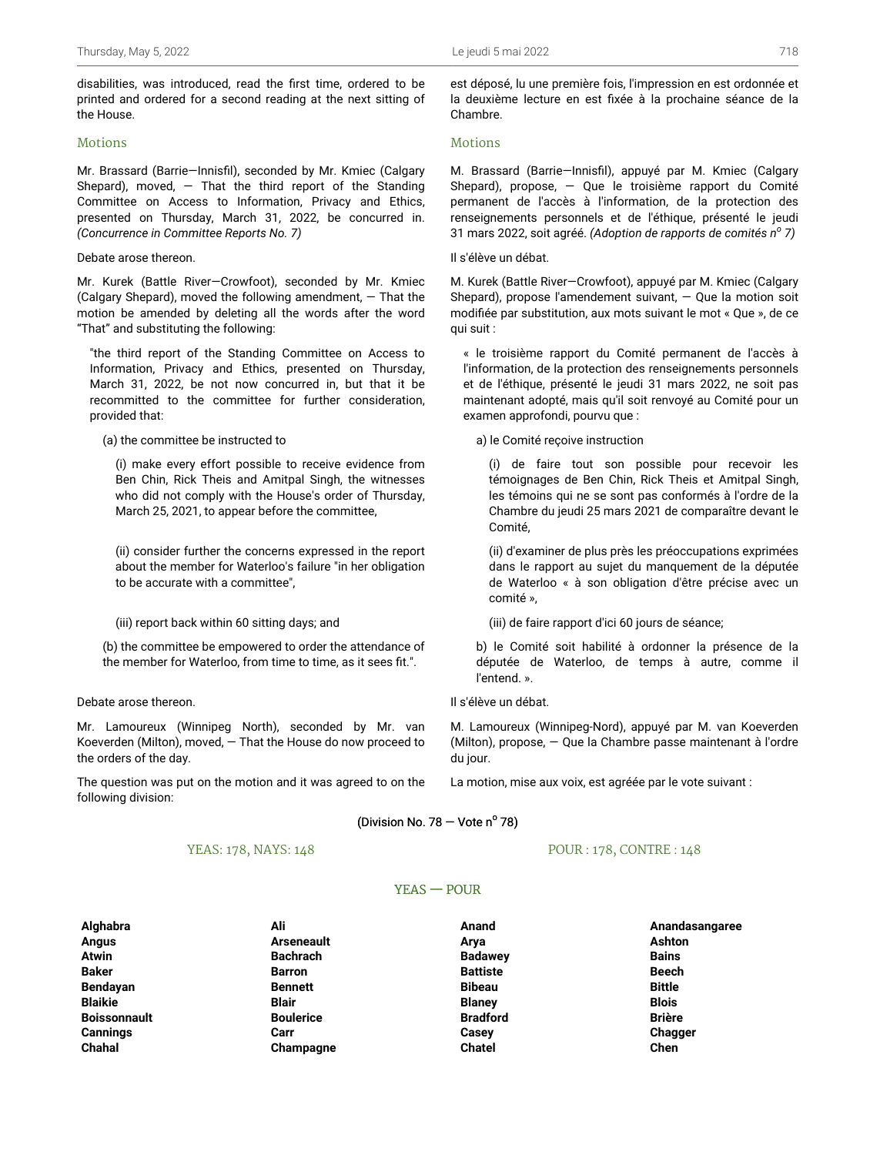disabilities, was introduced, read the first time, ordered to be printed and ordered for a second reading at the next sitting of the House.

### Motions

Mr. Brassard (Barrie—Innisfil), seconded by Mr. Kmiec (Calgary Shepard), moved,  $-$  That the third report of the Standing Committee on Access to Information, Privacy and Ethics, presented on Thursday, March 31, 2022, be concurred in. *(Concurrence in Committee Reports No. 7)*

#### Debate arose thereon.

Mr. Kurek (Battle River—Crowfoot), seconded by Mr. Kmiec (Calgary Shepard), moved the following amendment, — That the motion be amended by deleting all the words after the word "That" and substituting the following:

"the third report of the Standing Committee on Access to Information, Privacy and Ethics, presented on Thursday, March 31, 2022, be not now concurred in, but that it be recommitted to the committee for further consideration, provided that:

#### (a) the committee be instructed to

(i) make every effort possible to receive evidence from Ben Chin, Rick Theis and Amitpal Singh, the witnesses who did not comply with the House's order of Thursday, March 25, 2021, to appear before the committee,

(ii) consider further the concerns expressed in the report about the member for Waterloo's failure "in her obligation to be accurate with a committee",

(iii) report back within 60 sitting days; and

(b) the committee be empowered to order the attendance of the member for Waterloo, from time to time, as it sees fit.".

#### Debate arose thereon.

Mr. Lamoureux (Winnipeg North), seconded by Mr. van Koeverden (Milton), moved, — That the House do now proceed to the orders of the day.

The question was put on the motion and it was agreed to on the following division:

#### YEAS: 178, NAYS: 148

est déposé, lu une première fois, l'impression en est ordonnée et la deuxième lecture en est fixée à la prochaine séance de la Chambre.

### Motions

M. Brassard (Barrie—Innisfil), appuyé par M. Kmiec (Calgary Shepard), propose, — Que le troisième rapport du Comité permanent de l'accès à l'information, de la protection des renseignements personnels et de l'éthique, présenté le jeudi 31 mars 2022, soit agréé. *(Adoption de rapports de comités n<sup>o</sup> 7)*

#### Il s'élève un débat.

M. Kurek (Battle River—Crowfoot), appuyé par M. Kmiec (Calgary Shepard), propose l'amendement suivant, — Que la motion soit modifiée par substitution, aux mots suivant le mot « Que », de ce qui suit :

« le troisième rapport du Comité permanent de l'accès à l'information, de la protection des renseignements personnels et de l'éthique, présenté le jeudi 31 mars 2022, ne soit pas maintenant adopté, mais qu'il soit renvoyé au Comité pour un examen approfondi, pourvu que :

a) le Comité reçoive instruction

(i) de faire tout son possible pour recevoir les témoignages de Ben Chin, Rick Theis et Amitpal Singh, les témoins qui ne se sont pas conformés à l'ordre de la Chambre du jeudi 25 mars 2021 de comparaître devant le Comité,

(ii) d'examiner de plus près les préoccupations exprimées dans le rapport au sujet du manquement de la députée de Waterloo « à son obligation d'être précise avec un comité »,

(iii) de faire rapport d'ici 60 jours de séance;

b) le Comité soit habilité à ordonner la présence de la députée de Waterloo, de temps à autre, comme il l'entend. ».

### Il s'élève un débat.

M. Lamoureux (Winnipeg-Nord), appuyé par M. van Koeverden (Milton), propose, — Que la Chambre passe maintenant à l'ordre du jour.

La motion, mise aux voix, est agréée par le vote suivant :

### (Division No.  $78 -$  Vote n° 78)

#### POUR : 178, CONTRE : 148

#### YEAS — POUR

| Alghabra            | Ali               | Anand           | Anandasangaree |
|---------------------|-------------------|-----------------|----------------|
| Angus               | <b>Arseneault</b> | Arya            | Ashton         |
| <b>Atwin</b>        | <b>Bachrach</b>   | <b>Badawey</b>  | <b>Bains</b>   |
| <b>Baker</b>        | <b>Barron</b>     | <b>Battiste</b> | <b>Beech</b>   |
| Bendayan            | <b>Bennett</b>    | <b>Bibeau</b>   | <b>Bittle</b>  |
| <b>Blaikie</b>      | <b>Blair</b>      | <b>Blaney</b>   | <b>Blois</b>   |
| <b>Boissonnault</b> | <b>Boulerice</b>  | <b>Bradford</b> | <b>Brière</b>  |
| Cannings            | Carr              | Casey           | <b>Chagger</b> |
| Chahal              | Champagne         | <b>Chatel</b>   | Chen           |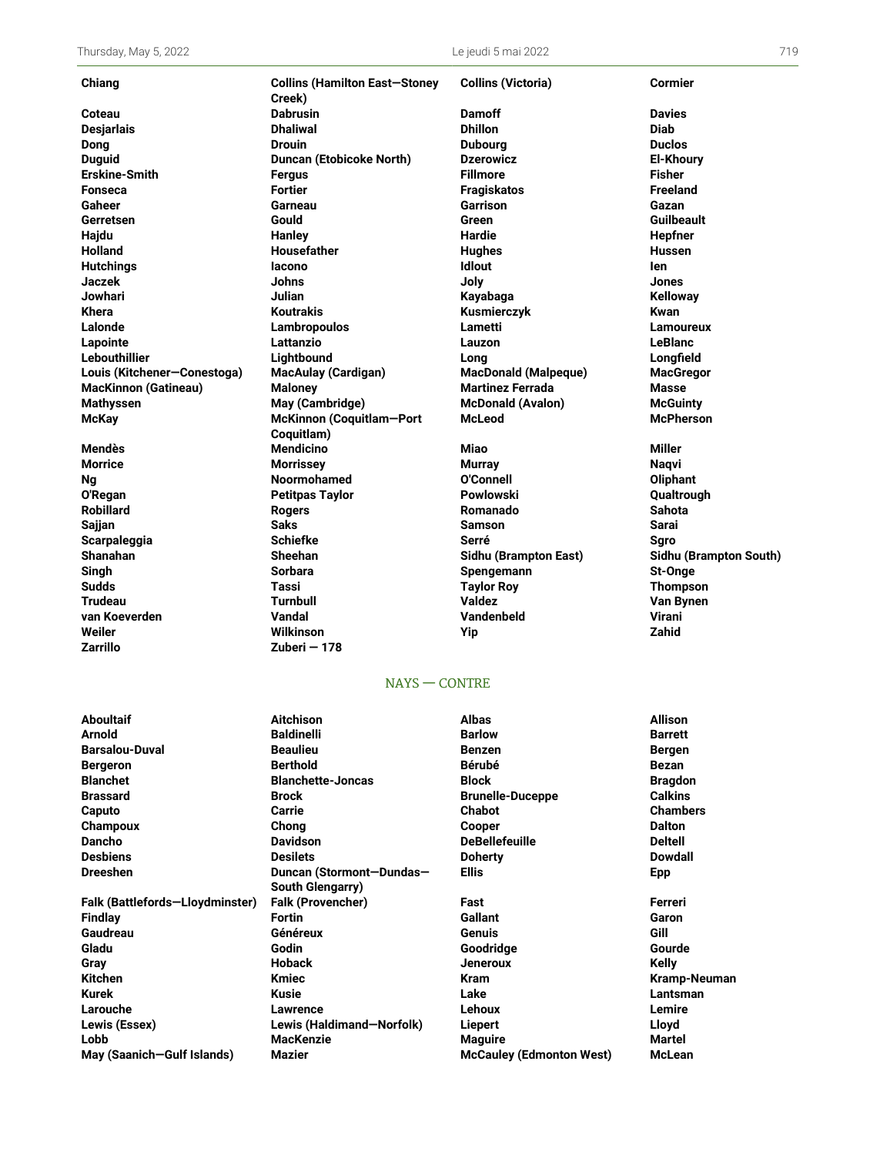| Thursday, May 5, 2022       |                                                | Le jeudi 5 mai 2022         |                        |
|-----------------------------|------------------------------------------------|-----------------------------|------------------------|
| Chiang                      | <b>Collins (Hamilton East-Stoney</b><br>Creek) | <b>Collins (Victoria)</b>   | <b>Cormier</b>         |
| Coteau                      | <b>Dabrusin</b>                                | <b>Damoff</b>               | <b>Davies</b>          |
| <b>Desjarlais</b>           | <b>Dhaliwal</b>                                | <b>Dhillon</b>              | <b>Diab</b>            |
| <b>Dong</b>                 | <b>Drouin</b>                                  | <b>Dubourg</b>              | <b>Duclos</b>          |
| <b>Duguid</b>               | <b>Duncan (Etobicoke North)</b>                | <b>Dzerowicz</b>            | <b>El-Khoury</b>       |
| <b>Erskine-Smith</b>        | <b>Fergus</b>                                  | <b>Fillmore</b>             | <b>Fisher</b>          |
| <b>Fonseca</b>              | <b>Fortier</b>                                 | <b>Fragiskatos</b>          | <b>Freeland</b>        |
| Gaheer                      | Garneau                                        | Garrison                    | Gazan                  |
| Gerretsen                   | <b>Gould</b>                                   | Green                       | Guilbeault             |
| Hajdu                       | <b>Hanley</b>                                  | Hardie                      | Hepfner                |
| <b>Holland</b>              | Housefather                                    | <b>Hughes</b>               | <b>Hussen</b>          |
| <b>Hutchings</b>            | lacono                                         | <b>Idlout</b>               | len                    |
| Jaczek                      | <b>Johns</b>                                   | Joly                        | <b>Jones</b>           |
| Jowhari                     | <b>Julian</b>                                  | Kayabaga                    | <b>Kelloway</b>        |
| Khera                       | <b>Koutrakis</b>                               | Kusmierczyk                 | Kwan                   |
| Lalonde                     | Lambropoulos                                   | Lametti                     | <b>Lamoureux</b>       |
| Lapointe                    | Lattanzio                                      | Lauzon                      | <b>LeBlanc</b>         |
| Lebouthillier               | Lightbound                                     | Long                        | Longfield              |
| Louis (Kitchener-Conestoga) | <b>MacAulay (Cardigan)</b>                     | <b>MacDonald (Malpeque)</b> | <b>MacGregor</b>       |
| <b>MacKinnon (Gatineau)</b> | <b>Maloney</b>                                 | <b>Martinez Ferrada</b>     | Masse                  |
| <b>Mathyssen</b>            | May (Cambridge)                                | <b>McDonald (Avalon)</b>    | <b>McGuinty</b>        |
| <b>McKay</b>                | McKinnon (Coquitlam-Port<br>Coquitlam)         | <b>McLeod</b>               | <b>McPherson</b>       |
| Mendès                      | <b>Mendicino</b>                               | <b>Miao</b>                 | <b>Miller</b>          |
| <b>Morrice</b>              | <b>Morrissey</b>                               | <b>Murray</b>               | <b>Naqvi</b>           |
| <b>Ng</b>                   | <b>Noormohamed</b>                             | O'Connell                   | Oliphant               |
| O'Regan                     | <b>Petitpas Taylor</b>                         | Powlowski                   | Qualtrough             |
| <b>Robillard</b>            | <b>Rogers</b>                                  | Romanado                    | <b>Sahota</b>          |
| Sajjan                      | <b>Saks</b>                                    | <b>Samson</b>               | Sarai                  |
| Scarpaleggia                | <b>Schiefke</b>                                | Serré                       | Saro                   |
| <b>Shanahan</b>             | <b>Sheehan</b>                                 | Sidhu (Brampton East)       | Sidhu (Brampton South) |
| Singh                       | <b>Sorbara</b>                                 | Spengemann                  | St-Onge                |
| <b>Sudds</b>                | Tassi                                          | <b>Taylor Roy</b>           | <b>Thompson</b>        |
| <b>Trudeau</b>              | <b>Turnbull</b>                                | Valdez                      | Van Bynen              |
| van Koeverden               | Vandal                                         | Vandenbeld                  | <b>Virani</b>          |
| Weiler                      | <b>Wilkinson</b>                               | Yip                         | Zahid                  |
| Zarrillo                    | Zuberi – 178                                   |                             |                        |

## NAYS — CONTRE

**Aboultaif Aitchison Albas Allison Arnold Baldinelli Barlow Barrett Barsalou-Duval Beaulieu Benzen Bergen Bergeron Berthold Bérubé Bezan Blanchet Blanchette-Joncas Block Bragdon Brassard Brock Brunelle-Duceppe Calkins Caputo Carrie Chabot Chambers Champoux Chong Cooper Dalton Dancho Davidson DeBellefeuille Deltell Desbiens Desilets Doherty Dowdall Dreeshen Duncan (Stormont—Dundas— South Glengarry) Ellis Epp Falk (Battlefords—Lloydminster) Falk (Provencher) Fast Ferreri Findlay Fortin Gallant Garon Gaudreau Généreux Genuis Gill Gladu Godin Goodridge Gourde Gray Hoback Jeneroux Kelly Kitchen Kmiec Kram Kramp-Neuman Kurek Kusie Lake Lantsman Larouche Lawrence Lehoux Lemire Lewis (Essex) Lewis (Haldimand—Norfolk) Liepert Lloyd Lobb MacKenzie Maguire Martel May (Saanich—Gulf Islands) Mazier McCauley (Edmonton West) McLean**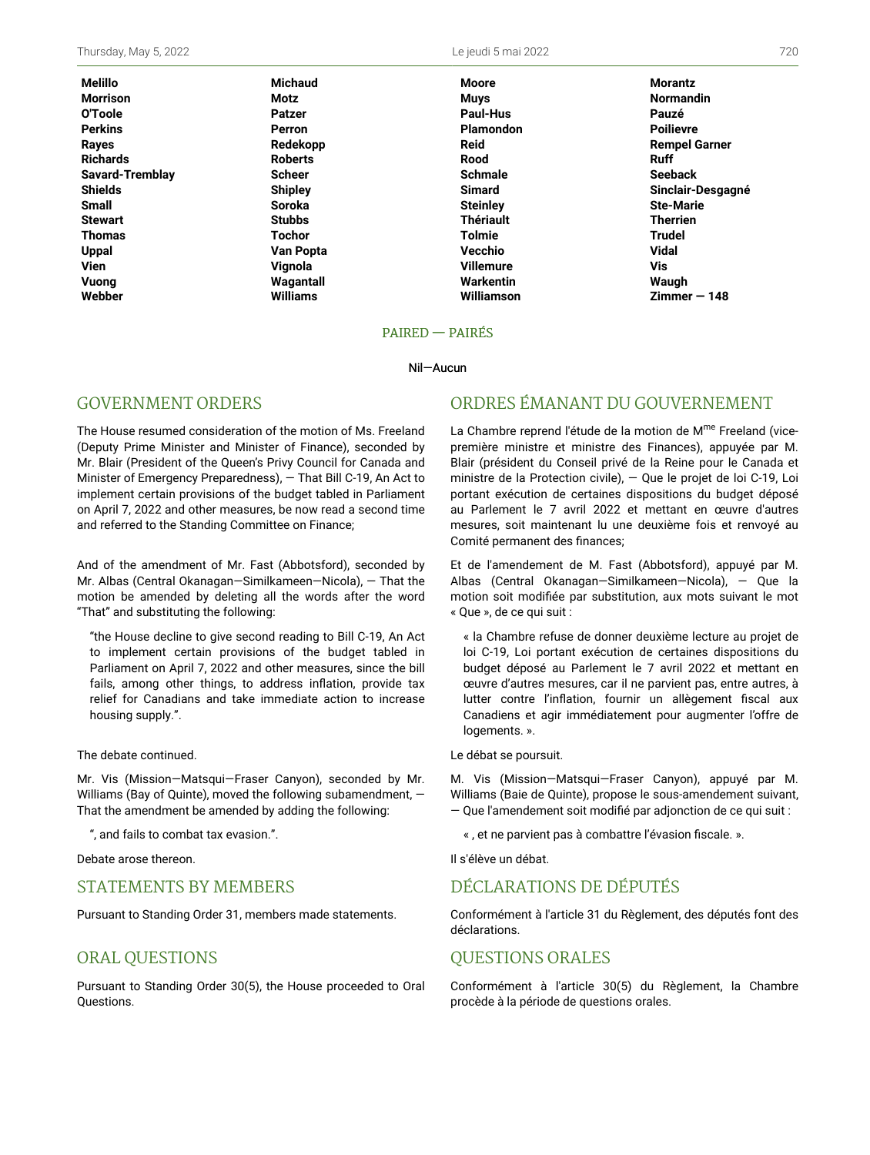| Melillo         | <b>Michaud</b>  | <b>Moore</b>     | <b>Morantz</b>       |
|-----------------|-----------------|------------------|----------------------|
| Morrison        | Motz            | <b>Muys</b>      | <b>Normandin</b>     |
| O'Toole         | <b>Patzer</b>   | Paul-Hus         | Pauzé                |
| Perkins         | Perron          | <b>Plamondon</b> | <b>Poilievre</b>     |
| Rayes           | Redekopp        | <b>Reid</b>      | <b>Rempel Garner</b> |
| Richards        | <b>Roberts</b>  | Rood             | <b>Ruff</b>          |
| Savard-Tremblay | <b>Scheer</b>   | <b>Schmale</b>   | <b>Seeback</b>       |
| Shields         | <b>Shipley</b>  | <b>Simard</b>    | Sinclair-Desgagné    |
| Small           | <b>Soroka</b>   | <b>Steinley</b>  | <b>Ste-Marie</b>     |
| Stewart         | <b>Stubbs</b>   | <b>Thériault</b> | <b>Therrien</b>      |
| Thomas          | <b>Tochor</b>   | <b>Tolmie</b>    | Trudel               |
| Uppal           | Van Popta       | Vecchio          | <b>Vidal</b>         |
| Vien            | Vignola         | <b>Villemure</b> | Vis                  |
| Vuong           | Wagantall       | Warkentin        | Waugh                |
| Webber          | <b>Williams</b> | Williamson       | $Zimmer - 148$       |

#### PAIRED — PAIRÉS

#### Nil—Aucun

## GOVERNMENT ORDERS

The House resumed consideration of the motion of Ms. Freeland (Deputy Prime Minister and Minister of Finance), seconded by Mr. Blair (President of the Queen's Privy Council for Canada and Minister of Emergency Preparedness), — That Bill C-19, An Act to implement certain provisions of the budget tabled in Parliament on April 7, 2022 and other measures, be now read a second time and referred to the Standing Committee on Finance;

And of the amendment of Mr. Fast (Abbotsford), seconded by Mr. Albas (Central Okanagan—Similkameen—Nicola), — That the motion be amended by deleting all the words after the word "That" and substituting the following:

"the House decline to give second reading to Bill C-19, An Act to implement certain provisions of the budget tabled in Parliament on April 7, 2022 and other measures, since the bill fails, among other things, to address inflation, provide tax relief for Canadians and take immediate action to increase housing supply.".

#### The debate continued.

Mr. Vis (Mission—Matsqui—Fraser Canyon), seconded by Mr. Williams (Bay of Quinte), moved the following subamendment, — That the amendment be amended by adding the following:

", and fails to combat tax evasion.".

Debate arose thereon.

## STATEMENTS BY MEMBERS

Pursuant to Standing Order 31, members made statements.

### ORAL QUESTIONS

Pursuant to Standing Order 30(5), the House proceeded to Oral Questions.

# ORDRES ÉMANANT DU GOUVERNEMENT

La Chambre reprend l'étude de la motion de M<sup>me</sup> Freeland (vicepremière ministre et ministre des Finances), appuyée par M. Blair (président du Conseil privé de la Reine pour le Canada et ministre de la Protection civile), — Que le projet de loi C-19, Loi portant exécution de certaines dispositions du budget déposé au Parlement le 7 avril 2022 et mettant en œuvre d'autres mesures, soit maintenant lu une deuxième fois et renvoyé au Comité permanent des finances;

Et de l'amendement de M. Fast (Abbotsford), appuyé par M. Albas (Central Okanagan—Similkameen—Nicola), — Que la motion soit modifiée par substitution, aux mots suivant le mot « Que », de ce qui suit :

« la Chambre refuse de donner deuxième lecture au projet de loi C-19, Loi portant exécution de certaines dispositions du budget déposé au Parlement le 7 avril 2022 et mettant en œuvre d'autres mesures, car il ne parvient pas, entre autres, à lutter contre l'inflation, fournir un allègement fiscal aux Canadiens et agir immédiatement pour augmenter l'offre de logements. ».

#### Le débat se poursuit.

M. Vis (Mission—Matsqui—Fraser Canyon), appuyé par M. Williams (Baie de Quinte), propose le sous-amendement suivant, — Que l'amendement soit modifié par adjonction de ce qui suit :

« , et ne parvient pas à combattre l'évasion fiscale. ».

Il s'élève un débat.

# DÉCLARATIONS DE DÉPUTÉS

Conformément à l'article 31 du Règlement, des députés font des déclarations.

### QUESTIONS ORALES

Conformément à l'article 30(5) du Règlement, la Chambre procède à la période de questions orales.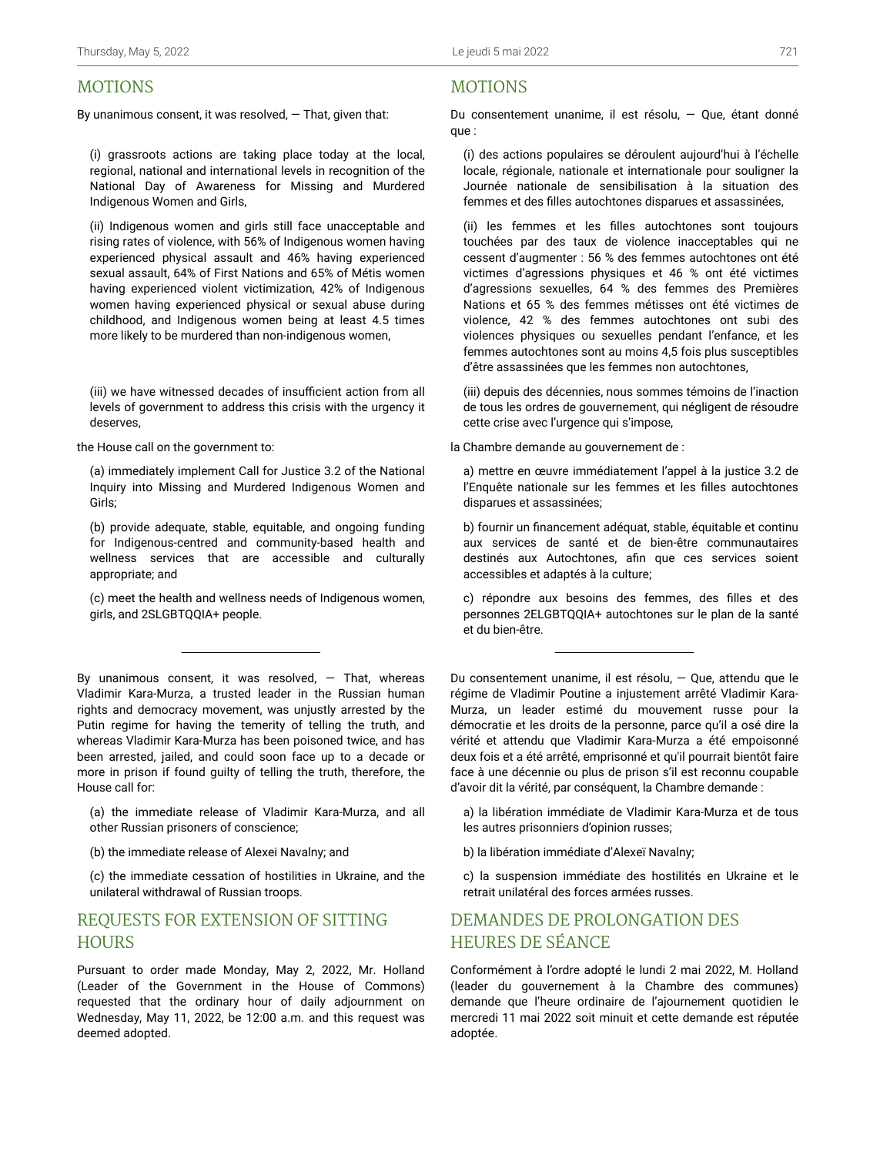# MOTIONS

By unanimous consent, it was resolved,  $-$  That, given that:

(i) grassroots actions are taking place today at the local, regional, national and international levels in recognition of the National Day of Awareness for Missing and Murdered Indigenous Women and Girls,

(ii) Indigenous women and girls still face unacceptable and rising rates of violence, with 56% of Indigenous women having experienced physical assault and 46% having experienced sexual assault, 64% of First Nations and 65% of Métis women having experienced violent victimization, 42% of Indigenous women having experienced physical or sexual abuse during childhood, and Indigenous women being at least 4.5 times more likely to be murdered than non-indigenous women,

(iii) we have witnessed decades of insufficient action from all levels of government to address this crisis with the urgency it deserves,

the House call on the government to:

(a) immediately implement Call for Justice 3.2 of the National Inquiry into Missing and Murdered Indigenous Women and Girls;

(b) provide adequate, stable, equitable, and ongoing funding for Indigenous-centred and community-based health and wellness services that are accessible and culturally appropriate; and

(c) meet the health and wellness needs of Indigenous women, girls, and 2SLGBTQQIA+ people.

By unanimous consent, it was resolved,  $-$  That, whereas Vladimir Kara-Murza, a trusted leader in the Russian human rights and democracy movement, was unjustly arrested by the Putin regime for having the temerity of telling the truth, and whereas Vladimir Kara-Murza has been poisoned twice, and has been arrested, jailed, and could soon face up to a decade or more in prison if found guilty of telling the truth, therefore, the House call for:

- (a) the immediate release of Vladimir Kara-Murza, and all other Russian prisoners of conscience;
- (b) the immediate release of Alexei Navalny; and

(c) the immediate cessation of hostilities in Ukraine, and the unilateral withdrawal of Russian troops.

# REQUESTS FOR EXTENSION OF SITTING **HOURS**

Pursuant to order made Monday, May 2, 2022, Mr. Holland (Leader of the Government in the House of Commons) requested that the ordinary hour of daily adjournment on Wednesday, May 11, 2022, be 12:00 a.m. and this request was deemed adopted.

## MOTIONS

Du consentement unanime, il est résolu, — Que, étant donné que :

(i) des actions populaires se déroulent aujourd'hui à l'échelle locale, régionale, nationale et internationale pour souligner la Journée nationale de sensibilisation à la situation des femmes et des filles autochtones disparues et assassinées,

(ii) les femmes et les filles autochtones sont toujours touchées par des taux de violence inacceptables qui ne cessent d'augmenter : 56 % des femmes autochtones ont été victimes d'agressions physiques et 46 % ont été victimes d'agressions sexuelles, 64 % des femmes des Premières Nations et 65 % des femmes métisses ont été victimes de violence, 42 % des femmes autochtones ont subi des violences physiques ou sexuelles pendant l'enfance, et les femmes autochtones sont au moins 4,5 fois plus susceptibles d'être assassinées que les femmes non autochtones,

(iii) depuis des décennies, nous sommes témoins de l'inaction de tous les ordres de gouvernement, qui négligent de résoudre cette crise avec l'urgence qui s'impose,

la Chambre demande au gouvernement de :

a) mettre en œuvre immédiatement l'appel à la justice 3.2 de l'Enquête nationale sur les femmes et les filles autochtones disparues et assassinées;

b) fournir un financement adéquat, stable, équitable et continu aux services de santé et de bien-être communautaires destinés aux Autochtones, afin que ces services soient accessibles et adaptés à la culture;

c) répondre aux besoins des femmes, des filles et des personnes 2ELGBTQQIA+ autochtones sur le plan de la santé et du bien-être.

Du consentement unanime, il est résolu, — Que, attendu que le régime de Vladimir Poutine a injustement arrêté Vladimir Kara-Murza, un leader estimé du mouvement russe pour la démocratie et les droits de la personne, parce qu'il a osé dire la vérité et attendu que Vladimir Kara-Murza a été empoisonné deux fois et a été arrêté, emprisonné et qu'il pourrait bientôt faire face à une décennie ou plus de prison s'il est reconnu coupable d'avoir dit la vérité, par conséquent, la Chambre demande :

- a) la libération immédiate de Vladimir Kara-Murza et de tous les autres prisonniers d'opinion russes;
- b) la libération immédiate d'Alexeï Navalny;

c) la suspension immédiate des hostilités en Ukraine et le retrait unilatéral des forces armées russes.

# DEMANDES DE PROLONGATION DES HEURES DE SÉANCE

Conformément à l'ordre adopté le lundi 2 mai 2022, M. Holland (leader du gouvernement à la Chambre des communes) demande que l'heure ordinaire de l'ajournement quotidien le mercredi 11 mai 2022 soit minuit et cette demande est réputée adoptée.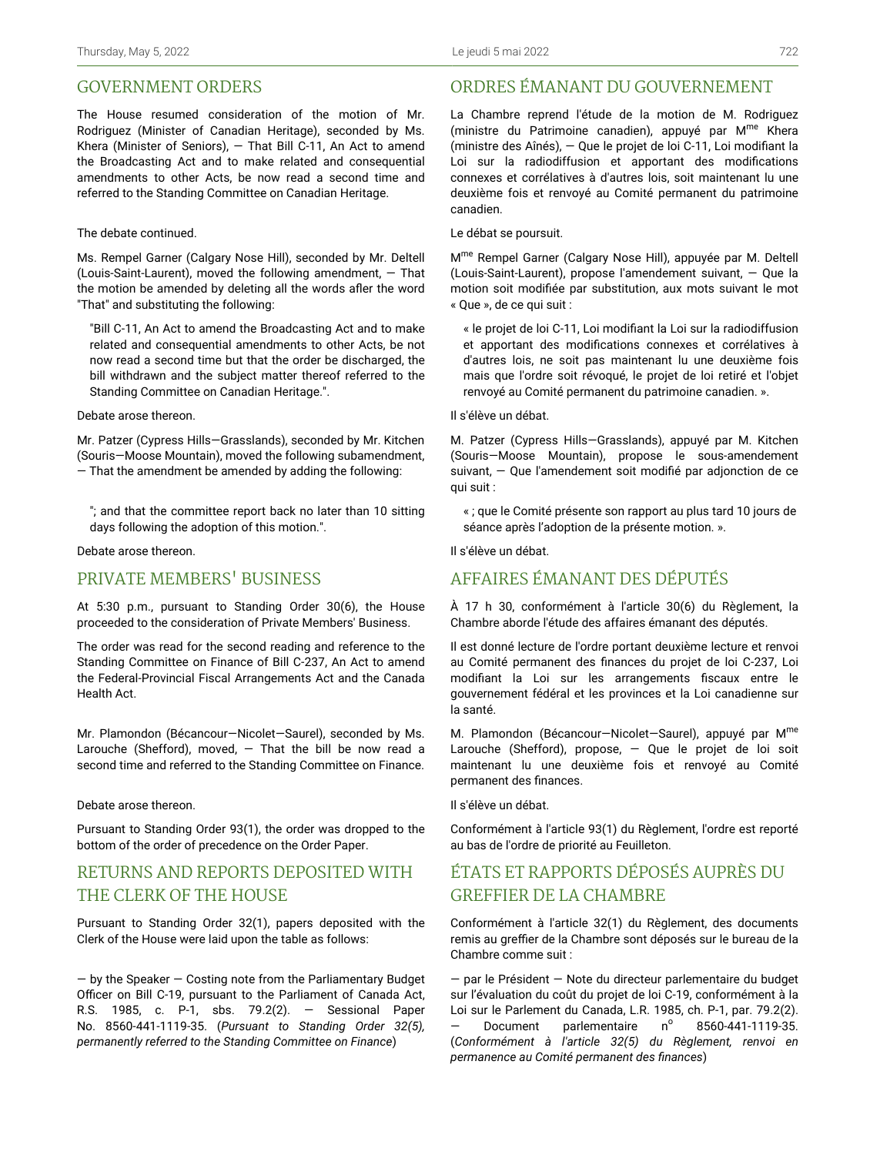# GOVERNMENT ORDERS

The House resumed consideration of the motion of Mr. Rodriguez (Minister of Canadian Heritage), seconded by Ms. Khera (Minister of Seniors), — That Bill C-11, An Act to amend the Broadcasting Act and to make related and consequential amendments to other Acts, be now read a second time and referred to the Standing Committee on Canadian Heritage.

### The debate continued.

Ms. Rempel Garner (Calgary Nose Hill), seconded by Mr. Deltell (Louis-Saint-Laurent), moved the following amendment, — That the motion be amended by deleting all the words afler the word "That" and substituting the following:

"Bill C-11, An Act to amend the Broadcasting Act and to make related and consequential amendments to other Acts, be not now read a second time but that the order be discharged, the bill withdrawn and the subject matter thereof referred to the Standing Committee on Canadian Heritage.".

#### Debate arose thereon.

Mr. Patzer (Cypress Hills—Grasslands), seconded by Mr. Kitchen (Souris—Moose Mountain), moved the following subamendment, — That the amendment be amended by adding the following:

"; and that the committee report back no later than 10 sitting days following the adoption of this motion.".

Debate arose thereon.

# PRIVATE MEMBERS' BUSINESS

At 5:30 p.m., pursuant to Standing Order 30(6), the House proceeded to the consideration of Private Members' Business.

The order was read for the second reading and reference to the Standing Committee on Finance of Bill C-237, An Act to amend the Federal-Provincial Fiscal Arrangements Act and the Canada Health Act.

Mr. Plamondon (Bécancour—Nicolet—Saurel), seconded by Ms. Larouche (Shefford), moved,  $-$  That the bill be now read a second time and referred to the Standing Committee on Finance.

Debate arose thereon.

Pursuant to Standing Order 93(1), the order was dropped to the bottom of the order of precedence on the Order Paper.

# RETURNS AND REPORTS DEPOSITED WITH THE CLERK OF THE HOUSE

Pursuant to Standing Order 32(1), papers deposited with the Clerk of the House were laid upon the table as follows:

 $-$  by the Speaker  $-$  Costing note from the Parliamentary Budget Officer on Bill C-19, pursuant to the Parliament of Canada Act, R.S. 1985, c. P-1, sbs. 79.2(2). — Sessional Paper No. 8560-441-1119-35. (*Pursuant to Standing Order 32(5), permanently referred to the Standing Committee on Finance*)

# ORDRES ÉMANANT DU GOUVERNEMENT

La Chambre reprend l'étude de la motion de M. Rodriguez (ministre du Patrimoine canadien), appuyé par M<sup>me</sup> Khera (ministre des Aînés), — Que le projet de loi C-11, Loi modifiant la Loi sur la radiodiffusion et apportant des modifications connexes et corrélatives à d'autres lois, soit maintenant lu une deuxième fois et renvoyé au Comité permanent du patrimoine canadien.

Le débat se poursuit.

M<sup>me</sup> Rempel Garner (Calgary Nose Hill), appuyée par M. Deltell (Louis-Saint-Laurent), propose l'amendement suivant, — Que la motion soit modifiée par substitution, aux mots suivant le mot « Que », de ce qui suit :

« le projet de loi C-11, Loi modifiant la Loi sur la radiodiffusion et apportant des modifications connexes et corrélatives à d'autres lois, ne soit pas maintenant lu une deuxième fois mais que l'ordre soit révoqué, le projet de loi retiré et l'objet renvoyé au Comité permanent du patrimoine canadien. ».

Il s'élève un débat.

M. Patzer (Cypress Hills—Grasslands), appuyé par M. Kitchen (Souris—Moose Mountain), propose le sous-amendement suivant, — Que l'amendement soit modifié par adjonction de ce qui suit :

« ; que le Comité présente son rapport au plus tard 10 jours de séance après l'adoption de la présente motion. ».

Il s'élève un débat.

# AFFAIRES ÉMANANT DES DÉPUTÉS

À 17 h 30, conformément à l'article 30(6) du Règlement, la Chambre aborde l'étude des affaires émanant des députés.

Il est donné lecture de l'ordre portant deuxième lecture et renvoi au Comité permanent des finances du projet de loi C-237, Loi modifiant la Loi sur les arrangements fiscaux entre le gouvernement fédéral et les provinces et la Loi canadienne sur la santé.

M. Plamondon (Bécancour–Nicolet–Saurel), appuyé par M<sup>me</sup> Larouche (Shefford), propose, — Que le projet de loi soit maintenant lu une deuxième fois et renvoyé au Comité permanent des finances.

Il s'élève un débat.

Conformément à l'article 93(1) du Règlement, l'ordre est reporté au bas de l'ordre de priorité au Feuilleton.

# ÉTATS ET RAPPORTS DÉPOSÉS AUPRÈS DU GREFFIER DE LA CHAMBRE

Conformément à l'article 32(1) du Règlement, des documents remis au greffier de la Chambre sont déposés sur le bureau de la Chambre comme suit :

— par le Président — Note du directeur parlementaire du budget sur l'évaluation du coût du projet de loi C-19, conformément à la Loi sur le Parlement du Canada, L.R. 1985, ch. P-1, par. 79.2(2). Document parlementaire n° 8560-441-1119-35. (*Conformément à l'article 32(5) du Règlement, renvoi en permanence au Comité permanent des finances*)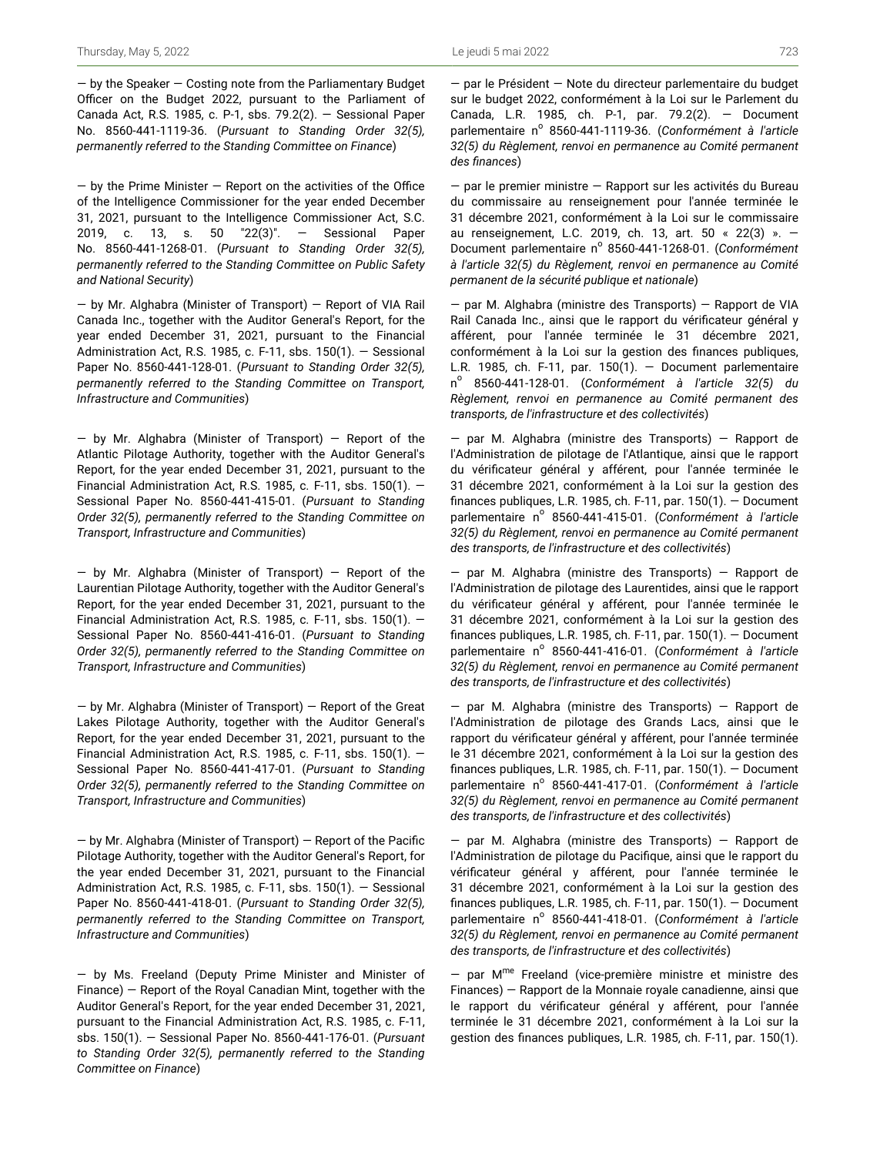$-$  by the Speaker  $-$  Costing note from the Parliamentary Budget Officer on the Budget 2022, pursuant to the Parliament of Canada Act, R.S. 1985, c. P-1, sbs. 79.2(2). — Sessional Paper No. 8560-441-1119-36. (*Pursuant to Standing Order 32(5), permanently referred to the Standing Committee on Finance*)

 $-$  by the Prime Minister  $-$  Report on the activities of the Office of the Intelligence Commissioner for the year ended December 31, 2021, pursuant to the Intelligence Commissioner Act, S.C. 2019, c. 13, s. 50 "22(3)". — Sessional Paper No. 8560-441-1268-01. (*Pursuant to Standing Order 32(5), permanently referred to the Standing Committee on Public Safety and National Security*)

— by Mr. Alghabra (Minister of Transport) — Report of VIA Rail Canada Inc., together with the Auditor General's Report, for the year ended December 31, 2021, pursuant to the Financial Administration Act, R.S. 1985, c. F-11, sbs. 150(1). — Sessional Paper No. 8560-441-128-01. (*Pursuant to Standing Order 32(5), permanently referred to the Standing Committee on Transport, Infrastructure and Communities*)

— by Mr. Alghabra (Minister of Transport) — Report of the Atlantic Pilotage Authority, together with the Auditor General's Report, for the year ended December 31, 2021, pursuant to the Financial Administration Act, R.S. 1985, c. F-11, sbs. 150(1). — Sessional Paper No. 8560-441-415-01. (*Pursuant to Standing Order 32(5), permanently referred to the Standing Committee on Transport, Infrastructure and Communities*)

 $-$  by Mr. Alghabra (Minister of Transport)  $-$  Report of the Laurentian Pilotage Authority, together with the Auditor General's Report, for the year ended December 31, 2021, pursuant to the Financial Administration Act, R.S. 1985, c. F-11, sbs. 150(1). — Sessional Paper No. 8560-441-416-01. (*Pursuant to Standing Order 32(5), permanently referred to the Standing Committee on Transport, Infrastructure and Communities*)

— by Mr. Alghabra (Minister of Transport) — Report of the Great Lakes Pilotage Authority, together with the Auditor General's Report, for the year ended December 31, 2021, pursuant to the Financial Administration Act, R.S. 1985, c. F-11, sbs. 150(1). — Sessional Paper No. 8560-441-417-01. (*Pursuant to Standing Order 32(5), permanently referred to the Standing Committee on Transport, Infrastructure and Communities*)

— by Mr. Alghabra (Minister of Transport) — Report of the Pacific Pilotage Authority, together with the Auditor General's Report, for the year ended December 31, 2021, pursuant to the Financial Administration Act, R.S. 1985, c. F-11, sbs. 150(1). — Sessional Paper No. 8560-441-418-01. (*Pursuant to Standing Order 32(5), permanently referred to the Standing Committee on Transport, Infrastructure and Communities*)

— by Ms. Freeland (Deputy Prime Minister and Minister of Finance) — Report of the Royal Canadian Mint, together with the Auditor General's Report, for the year ended December 31, 2021, pursuant to the Financial Administration Act, R.S. 1985, c. F-11, sbs. 150(1). — Sessional Paper No. 8560-441-176-01. (*Pursuant to Standing Order 32(5), permanently referred to the Standing Committee on Finance*)

— par le Président — Note du directeur parlementaire du budget sur le budget 2022, conformément à la Loi sur le Parlement du Canada, L.R. 1985, ch. P-1, par. 79.2(2). — Document parlementaire n<sup>o</sup> 8560-441-1119-36. (Conformément à l'article *32(5) du Règlement, renvoi en permanence au Comité permanent des finances*)

— par le premier ministre — Rapport sur les activités du Bureau du commissaire au renseignement pour l'année terminée le 31 décembre 2021, conformément à la Loi sur le commissaire au renseignement, L.C. 2019, ch. 13, art. 50 « 22(3) ». — Document parlementaire nº 8560-441-1268-01. (Conformément *à l'article 32(5) du Règlement, renvoi en permanence au Comité permanent de la sécurité publique et nationale*)

— par M. Alghabra (ministre des Transports) — Rapport de VIA Rail Canada Inc., ainsi que le rapport du vérificateur général y afférent, pour l'année terminée le 31 décembre 2021, conformément à la Loi sur la gestion des finances publiques, L.R. 1985, ch. F-11, par. 150 $(1)$ .  $-$  Document parlementaire n o 8560-441-128-01. (*Conformément à l'article 32(5) du Règlement, renvoi en permanence au Comité permanent des transports, de l'infrastructure et des collectivités*)

— par M. Alghabra (ministre des Transports) — Rapport de l'Administration de pilotage de l'Atlantique, ainsi que le rapport du vérificateur général y afférent, pour l'année terminée le 31 décembre 2021, conformément à la Loi sur la gestion des finances publiques, L.R. 1985, ch. F-11, par.  $150(1)$ .  $-$  Document parlementaire n<sup>o</sup> 8560-441-415-01. (Conformément à l'article *32(5) du Règlement, renvoi en permanence au Comité permanent des transports, de l'infrastructure et des collectivités*)

— par M. Alghabra (ministre des Transports) — Rapport de l'Administration de pilotage des Laurentides, ainsi que le rapport du vérificateur général y afférent, pour l'année terminée le 31 décembre 2021, conformément à la Loi sur la gestion des finances publiques, L.R. 1985, ch. F-11, par.  $150(1)$ .  $-$  Document parlementaire n<sup>o</sup> 8560-441-416-01. (Conformément à l'article *32(5) du Règlement, renvoi en permanence au Comité permanent des transports, de l'infrastructure et des collectivités*)

— par M. Alghabra (ministre des Transports) — Rapport de l'Administration de pilotage des Grands Lacs, ainsi que le rapport du vérificateur général y afférent, pour l'année terminée le 31 décembre 2021, conformément à la Loi sur la gestion des finances publiques, L.R. 1985, ch. F-11, par.  $150(1)$ .  $-$  Document parlementaire n<sup>o</sup> 8560-441-417-01. (Conformément à l'article *32(5) du Règlement, renvoi en permanence au Comité permanent des transports, de l'infrastructure et des collectivités*)

— par M. Alghabra (ministre des Transports) — Rapport de l'Administration de pilotage du Pacifique, ainsi que le rapport du vérificateur général y afférent, pour l'année terminée le 31 décembre 2021, conformément à la Loi sur la gestion des finances publiques, L.R. 1985, ch. F-11, par. 150(1). — Document parlementaire n<sup>o</sup> 8560-441-418-01. (Conformément à l'article *32(5) du Règlement, renvoi en permanence au Comité permanent des transports, de l'infrastructure et des collectivités*)

— par M me Freeland (vice-première ministre et ministre des Finances) — Rapport de la Monnaie royale canadienne, ainsi que le rapport du vérificateur général y afférent, pour l'année terminée le 31 décembre 2021, conformément à la Loi sur la gestion des finances publiques, L.R. 1985, ch. F-11, par. 150(1).